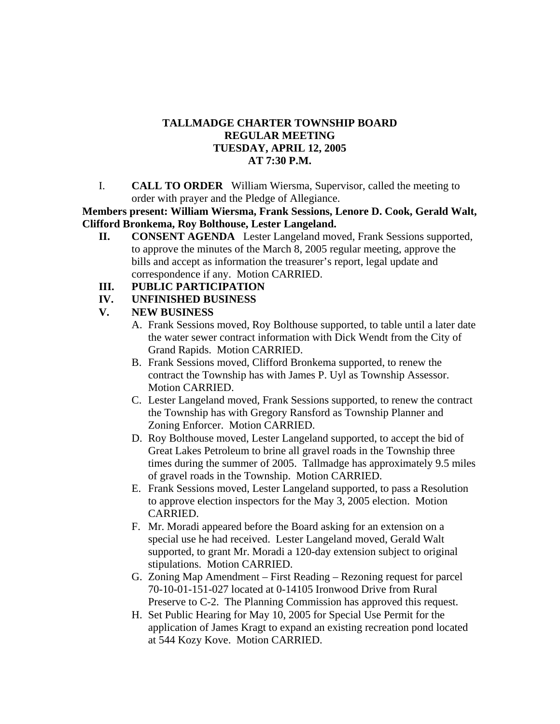# **TALLMADGE CHARTER TOWNSHIP BOARD REGULAR MEETING TUESDAY, APRIL 12, 2005 AT 7:30 P.M.**

I. **CALL TO ORDER** William Wiersma, Supervisor, called the meeting to order with prayer and the Pledge of Allegiance.

**Members present: William Wiersma, Frank Sessions, Lenore D. Cook, Gerald Walt, Clifford Bronkema, Roy Bolthouse, Lester Langeland.**

**II. CONSENT AGENDA** Lester Langeland moved, Frank Sessions supported, to approve the minutes of the March 8, 2005 regular meeting, approve the bills and accept as information the treasurer's report, legal update and correspondence if any. Motion CARRIED.

#### **III. PUBLIC PARTICIPATION**

**IV. UNFINISHED BUSINESS** 

# **V. NEW BUSINESS**

- A. Frank Sessions moved, Roy Bolthouse supported, to table until a later date the water sewer contract information with Dick Wendt from the City of Grand Rapids. Motion CARRIED.
- B. Frank Sessions moved, Clifford Bronkema supported, to renew the contract the Township has with James P. Uyl as Township Assessor. Motion CARRIED.
- C. Lester Langeland moved, Frank Sessions supported, to renew the contract the Township has with Gregory Ransford as Township Planner and Zoning Enforcer. Motion CARRIED.
- D. Roy Bolthouse moved, Lester Langeland supported, to accept the bid of Great Lakes Petroleum to brine all gravel roads in the Township three times during the summer of 2005. Tallmadge has approximately 9.5 miles of gravel roads in the Township. Motion CARRIED.
- E. Frank Sessions moved, Lester Langeland supported, to pass a Resolution to approve election inspectors for the May 3, 2005 election. Motion CARRIED.
- F. Mr. Moradi appeared before the Board asking for an extension on a special use he had received. Lester Langeland moved, Gerald Walt supported, to grant Mr. Moradi a 120-day extension subject to original stipulations. Motion CARRIED.
- G. Zoning Map Amendment First Reading Rezoning request for parcel 70-10-01-151-027 located at 0-14105 Ironwood Drive from Rural Preserve to C-2. The Planning Commission has approved this request.
- H. Set Public Hearing for May 10, 2005 for Special Use Permit for the application of James Kragt to expand an existing recreation pond located at 544 Kozy Kove. Motion CARRIED.